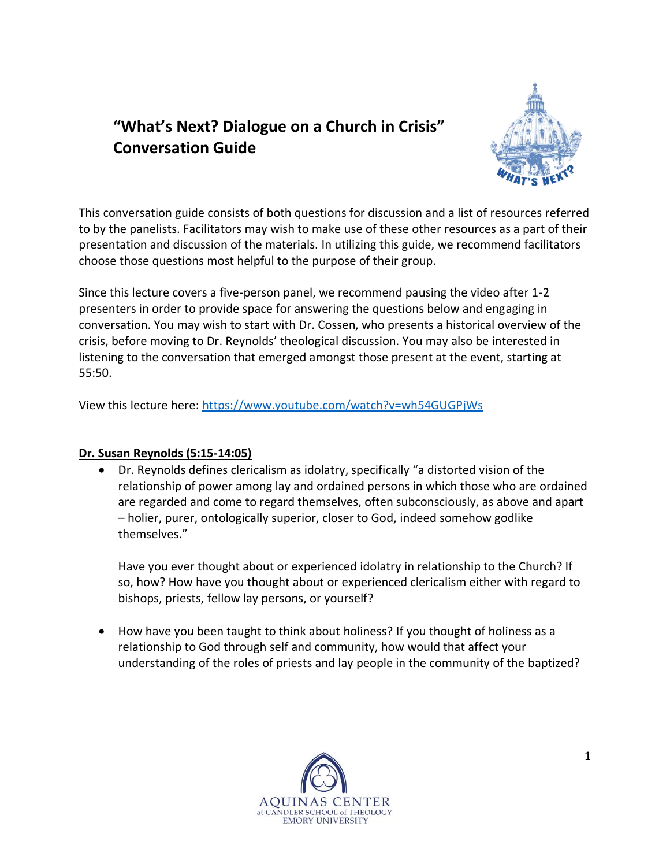# **"What's Next? Dialogue on a Church in Crisis" Conversation Guide**



This conversation guide consists of both questions for discussion and a list of resources referred to by the panelists. Facilitators may wish to make use of these other resources as a part of their presentation and discussion of the materials. In utilizing this guide, we recommend facilitators choose those questions most helpful to the purpose of their group.

Since this lecture covers a five-person panel, we recommend pausing the video after 1-2 presenters in order to provide space for answering the questions below and engaging in conversation. You may wish to start with Dr. Cossen, who presents a historical overview of the crisis, before moving to Dr. Reynolds' theological discussion. You may also be interested in listening to the conversation that emerged amongst those present at the event, starting at 55:50.

View this lecture here[: https://www.youtube.com/watch?v=wh54GUGPjWs](https://www.youtube.com/watch?v=wh54GUGPjWs)

## **Dr. Susan Reynolds (5:15-14:05)**

• Dr. Reynolds defines clericalism as idolatry, specifically "a distorted vision of the relationship of power among lay and ordained persons in which those who are ordained are regarded and come to regard themselves, often subconsciously, as above and apart – holier, purer, ontologically superior, closer to God, indeed somehow godlike themselves."

Have you ever thought about or experienced idolatry in relationship to the Church? If so, how? How have you thought about or experienced clericalism either with regard to bishops, priests, fellow lay persons, or yourself?

• How have you been taught to think about holiness? If you thought of holiness as a relationship to God through self and community, how would that affect your understanding of the roles of priests and lay people in the community of the baptized?

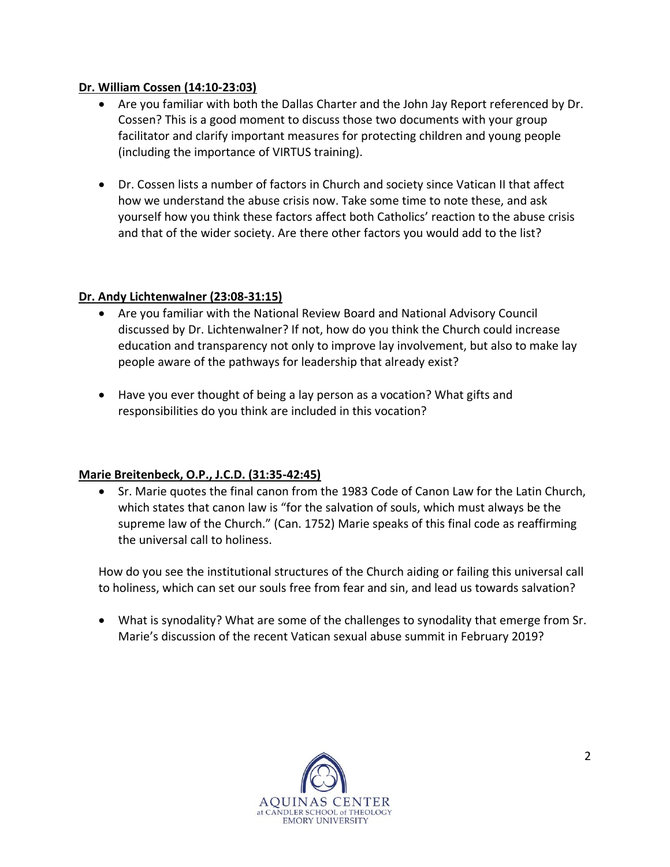## **Dr. William Cossen (14:10-23:03)**

- Are you familiar with both the Dallas Charter and the John Jay Report referenced by Dr. Cossen? This is a good moment to discuss those two documents with your group facilitator and clarify important measures for protecting children and young people (including the importance of VIRTUS training).
- Dr. Cossen lists a number of factors in Church and society since Vatican II that affect how we understand the abuse crisis now. Take some time to note these, and ask yourself how you think these factors affect both Catholics' reaction to the abuse crisis and that of the wider society. Are there other factors you would add to the list?

#### **Dr. Andy Lichtenwalner (23:08-31:15)**

- Are you familiar with the National Review Board and National Advisory Council discussed by Dr. Lichtenwalner? If not, how do you think the Church could increase education and transparency not only to improve lay involvement, but also to make lay people aware of the pathways for leadership that already exist?
- Have you ever thought of being a lay person as a vocation? What gifts and responsibilities do you think are included in this vocation?

## **Marie Breitenbeck, O.P., J.C.D. (31:35-42:45)**

• Sr. Marie quotes the final canon from the 1983 Code of Canon Law for the Latin Church, which states that canon law is "for the salvation of souls, which must always be the supreme law of the Church." (Can. 1752) Marie speaks of this final code as reaffirming the universal call to holiness.

How do you see the institutional structures of the Church aiding or failing this universal call to holiness, which can set our souls free from fear and sin, and lead us towards salvation?

• What is synodality? What are some of the challenges to synodality that emerge from Sr. Marie's discussion of the recent Vatican sexual abuse summit in February 2019?

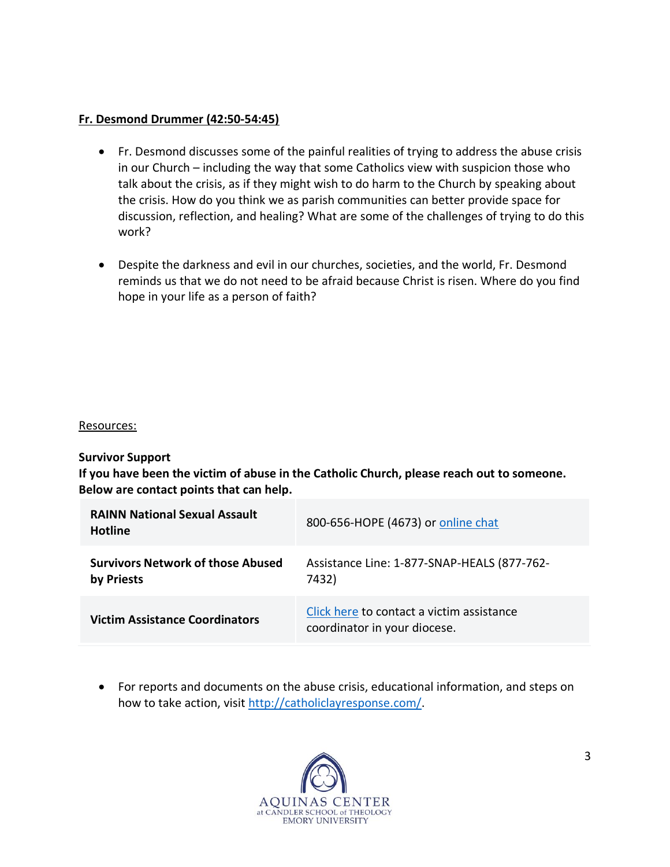#### **Fr. Desmond Drummer (42:50-54:45)**

- Fr. Desmond discusses some of the painful realities of trying to address the abuse crisis in our Church – including the way that some Catholics view with suspicion those who talk about the crisis, as if they might wish to do harm to the Church by speaking about the crisis. How do you think we as parish communities can better provide space for discussion, reflection, and healing? What are some of the challenges of trying to do this work?
- Despite the darkness and evil in our churches, societies, and the world, Fr. Desmond reminds us that we do not need to be afraid because Christ is risen. Where do you find hope in your life as a person of faith?

#### Resources:

**Survivor Support**

**If you have been the victim of abuse in the Catholic Church, please reach out to someone. Below are contact points that can help.**

| <b>RAINN National Sexual Assault</b><br><b>Hotline</b> | 800-656-HOPE (4673) or online chat                                        |
|--------------------------------------------------------|---------------------------------------------------------------------------|
| <b>Survivors Network of those Abused</b><br>by Priests | Assistance Line: 1-877-SNAP-HEALS (877-762-<br>7432)                      |
| <b>Victim Assistance Coordinators</b>                  | Click here to contact a victim assistance<br>coordinator in your diocese. |

• For reports and documents on the abuse crisis, educational information, and steps on how to take action, visit [http://catholiclayresponse.com/.](http://catholiclayresponse.com/)